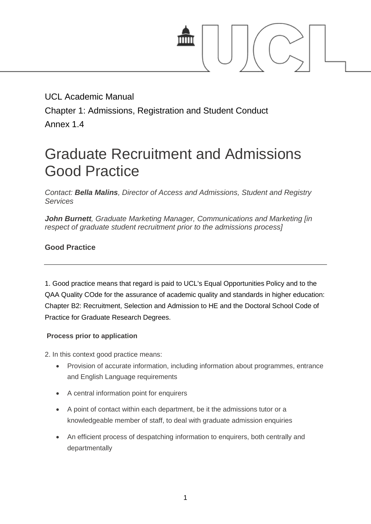

UCL Academic Manual Chapter 1: Admissions, Registration and Student Conduct Annex 1.4

# Graduate Recruitment and Admissions Good Practice

*Contact: Bella Malins, Director of Access and Admissions, Student and Registry Services*

*John Burnett, Graduate Marketing Manager, Communications and Marketing [in respect of graduate student recruitment prior to the admissions process]*

# **Good Practice**

1. Good practice means that regard is paid to UCL's Equal Opportunities Policy and to the QAA Quality COde for the assurance of academic quality and standards in higher education: Chapter B2: Recruitment, Selection and Admission to HE and the Doctoral School Code of Practice for Graduate Research Degrees.

## **Process prior to application**

2. In this context good practice means:

- Provision of accurate information, including information about programmes, entrance and English Language requirements
- A central information point for enquirers
- A point of contact within each department, be it the admissions tutor or a knowledgeable member of staff, to deal with graduate admission enquiries
- An efficient process of despatching information to enquirers, both centrally and departmentally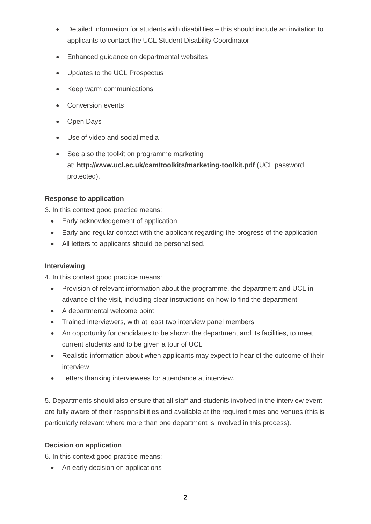- Detailed information for students with disabilities this should include an invitation to applicants to contact the UCL Student Disability Coordinator.
- Enhanced guidance on departmental websites
- Updates to the UCL Prospectus
- Keep warm communications
- Conversion events
- Open Days
- Use of video and social media
- See also the toolkit on programme marketing at: **<http://www.ucl.ac.uk/cam/toolkits/marketing-toolkit.pdf>** (UCL password protected).

#### **Response to application**

3. In this context good practice means:

- Early acknowledgement of application
- Early and regular contact with the applicant regarding the progress of the application
- All letters to applicants should be personalised.

#### **Interviewing**

4. In this context good practice means:

- Provision of relevant information about the programme, the department and UCL in advance of the visit, including clear instructions on how to find the department
- A departmental welcome point
- Trained interviewers, with at least two interview panel members
- An opportunity for candidates to be shown the department and its facilities, to meet current students and to be given a tour of UCL
- Realistic information about when applicants may expect to hear of the outcome of their interview
- Letters thanking interviewees for attendance at interview.

5. Departments should also ensure that all staff and students involved in the interview event are fully aware of their responsibilities and available at the required times and venues (this is particularly relevant where more than one department is involved in this process).

#### **Decision on application**

6. In this context good practice means:

• An early decision on applications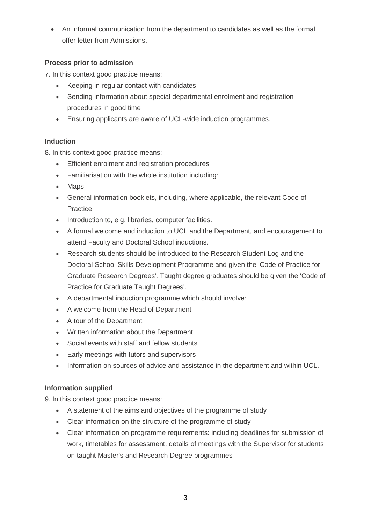An informal communication from the department to candidates as well as the formal offer letter from Admissions.

# **Process prior to admission**

7. In this context good practice means:

- Keeping in regular contact with candidates
- Sending information about special departmental enrolment and registration procedures in good time
- Ensuring applicants are aware of UCL-wide induction programmes.

## **Induction**

8. In this context good practice means:

- Efficient enrolment and registration procedures
- Familiarisation with the whole institution including:
- Maps
- General information booklets, including, where applicable, the relevant Code of **Practice**
- Introduction to, e.g. libraries, computer facilities.
- A formal welcome and induction to UCL and the Department, and encouragement to attend Faculty and Doctoral School inductions.
- Research students should be introduced to the Research Student Log and the Doctoral School Skills Development Programme and given the 'Code of Practice for Graduate Research Degrees'. Taught degree graduates should be given the 'Code of Practice for Graduate Taught Degrees'.
- A departmental induction programme which should involve:
- A welcome from the Head of Department
- A tour of the Department
- Written information about the Department
- Social events with staff and fellow students
- Early meetings with tutors and supervisors
- Information on sources of advice and assistance in the department and within UCL.

## **Information supplied**

9. In this context good practice means:

- A statement of the aims and objectives of the programme of study
- Clear information on the structure of the programme of study
- Clear information on programme requirements: including deadlines for submission of work, timetables for assessment, details of meetings with the Supervisor for students on taught Master's and Research Degree programmes